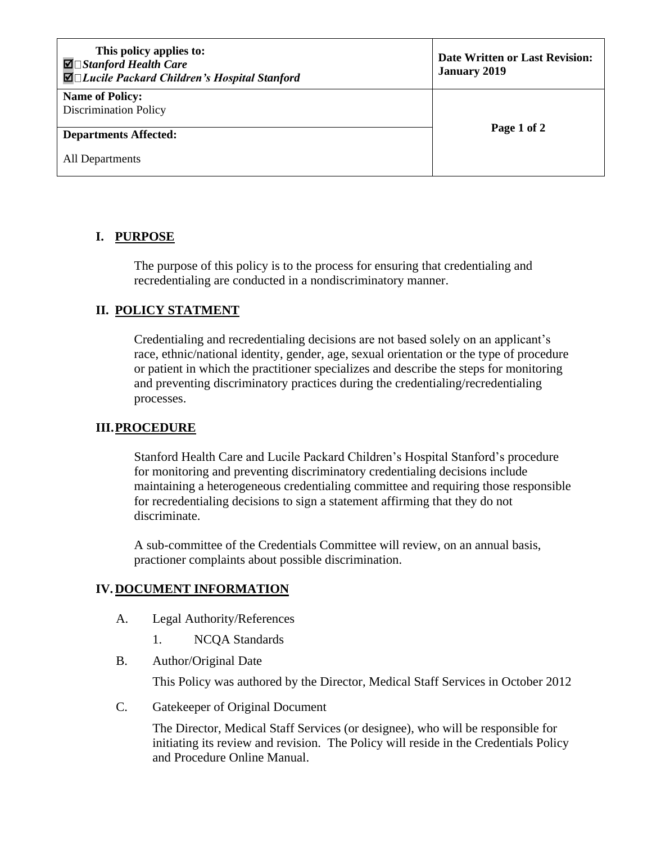| This policy applies to:<br>$\blacksquare$ Stanford Health Care<br>$\blacksquare$ Lucile Packard Children's Hospital Stanford | <b>Date Written or Last Revision:</b><br><b>January 2019</b> |
|------------------------------------------------------------------------------------------------------------------------------|--------------------------------------------------------------|
| <b>Name of Policy:</b><br><b>Discrimination Policy</b>                                                                       | Page 1 of 2                                                  |
| <b>Departments Affected:</b>                                                                                                 |                                                              |
| All Departments                                                                                                              |                                                              |

## **I. PURPOSE**

The purpose of this policy is to the process for ensuring that credentialing and recredentialing are conducted in a nondiscriminatory manner.

## **II. POLICY STATMENT**

Credentialing and recredentialing decisions are not based solely on an applicant's race, ethnic/national identity, gender, age, sexual orientation or the type of procedure or patient in which the practitioner specializes and describe the steps for monitoring and preventing discriminatory practices during the credentialing/recredentialing processes.

## **III.PROCEDURE**

Stanford Health Care and Lucile Packard Children's Hospital Stanford's procedure for monitoring and preventing discriminatory credentialing decisions include maintaining a heterogeneous credentialing committee and requiring those responsible for recredentialing decisions to sign a statement affirming that they do not discriminate.

A sub-committee of the Credentials Committee will review, on an annual basis, practioner complaints about possible discrimination.

## **IV.DOCUMENT INFORMATION**

- A. Legal Authority/References
	- 1. NCQA Standards
- B. Author/Original Date

This Policy was authored by the Director, Medical Staff Services in October 2012

C. Gatekeeper of Original Document

The Director, Medical Staff Services (or designee), who will be responsible for initiating its review and revision. The Policy will reside in the Credentials Policy and Procedure Online Manual.